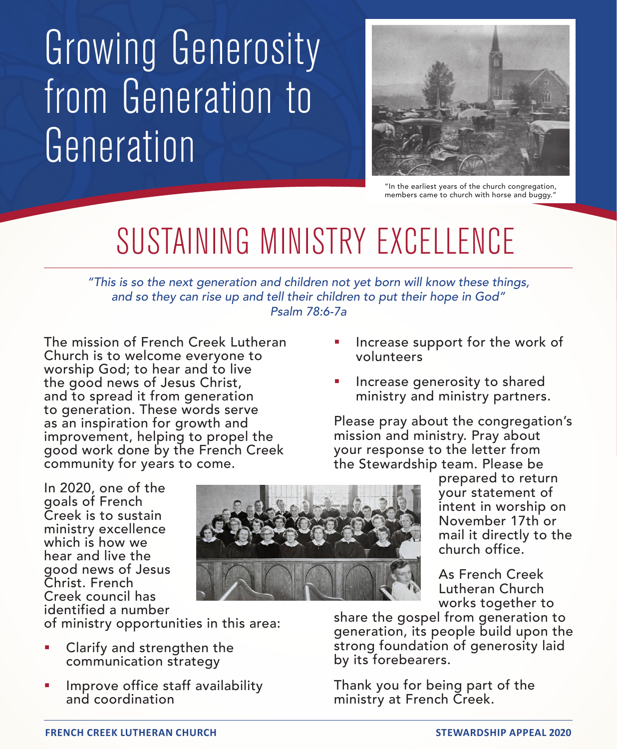## Growing Generosity from Generation to Generation



"In the earliest years of the church congregation, members came to church with horse and buggy."

## SUSTAINING MINISTRY EXCELLENCE

*"This is so the next generation and children not yet born will know these things, and so they can rise up and tell their children to put their hope in God" Psalm 78:6-7a*

The mission of French Creek Lutheran Church is to welcome everyone to worship God; to hear and to live the good news of Jesus Christ, and to spread it from generation to generation. These words serve as an inspiration for growth and improvement, helping to propel the good work done by the French Creek community for years to come.

- Increase support for the work of volunteers
- Increase generosity to shared ministry and ministry partners.

Please pray about the congregation's mission and ministry. Pray about your response to the letter from the Stewardship team. Please be

In 2020, one of the goals of French Creek is to sustain ministry excellence which is how we hear and live the good news of Jesus Christ. French Creek council has identified a number

of ministry opportunities in this area:

- Clarify and strengthen the communication strategy
- Improve office staff availability and coordination

prepared to return your statement of intent in worship on November 17th or mail it directly to the church office.

As French Creek Lutheran Church works together to

share the gospel from generation to generation, its people build upon the strong foundation of generosity laid by its forebearers.

Thank you for being part of the ministry at French Creek.